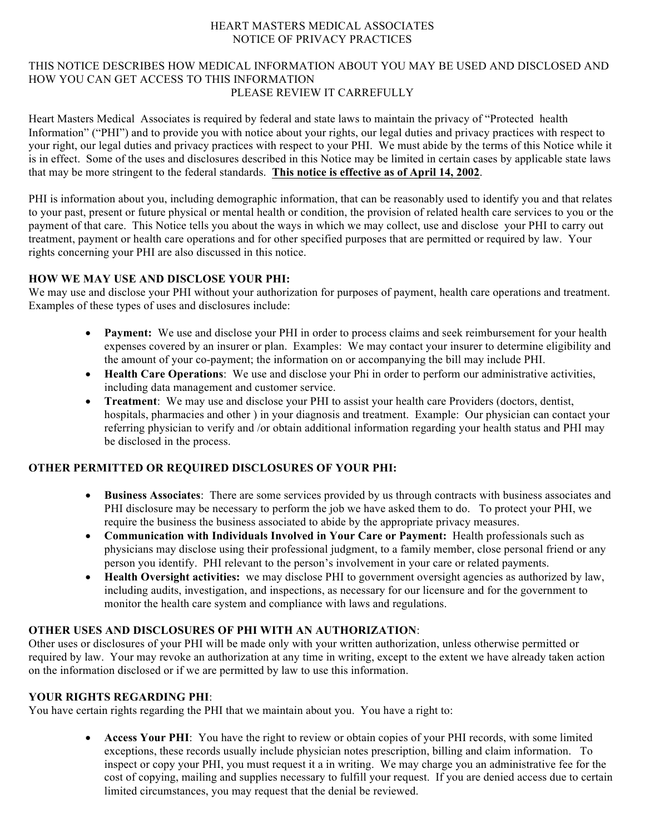### HEART MASTERS MEDICAL ASSOCIATES NOTICE OF PRIVACY PRACTICES

#### THIS NOTICE DESCRIBES HOW MEDICAL INFORMATION ABOUT YOU MAY BE USED AND DISCLOSED AND HOW YOU CAN GET ACCESS TO THIS INFORMATION PLEASE REVIEW IT CARREFULLY

Heart Masters Medical Associates is required by federal and state laws to maintain the privacy of "Protected health Information" ("PHI") and to provide you with notice about your rights, our legal duties and privacy practices with respect to your right, our legal duties and privacy practices with respect to your PHI. We must abide by the terms of this Notice while it is in effect. Some of the uses and disclosures described in this Notice may be limited in certain cases by applicable state laws that may be more stringent to the federal standards. **This notice is effective as of April 14, 2002**.

PHI is information about you, including demographic information, that can be reasonably used to identify you and that relates to your past, present or future physical or mental health or condition, the provision of related health care services to you or the payment of that care. This Notice tells you about the ways in which we may collect, use and disclose your PHI to carry out treatment, payment or health care operations and for other specified purposes that are permitted or required by law. Your rights concerning your PHI are also discussed in this notice.

# **HOW WE MAY USE AND DISCLOSE YOUR PHI:**

We may use and disclose your PHI without your authorization for purposes of payment, health care operations and treatment. Examples of these types of uses and disclosures include:

- **Payment:** We use and disclose your PHI in order to process claims and seek reimbursement for your health expenses covered by an insurer or plan. Examples: We may contact your insurer to determine eligibility and the amount of your co-payment; the information on or accompanying the bill may include PHI.
- **Health Care Operations**: We use and disclose your Phi in order to perform our administrative activities, including data management and customer service.
- **Treatment**: We may use and disclose your PHI to assist your health care Providers (doctors, dentist, hospitals, pharmacies and other ) in your diagnosis and treatment. Example: Our physician can contact your referring physician to verify and /or obtain additional information regarding your health status and PHI may be disclosed in the process.

## **OTHER PERMITTED OR REQUIRED DISCLOSURES OF YOUR PHI:**

- **Business Associates**: There are some services provided by us through contracts with business associates and PHI disclosure may be necessary to perform the job we have asked them to do. To protect your PHI, we require the business the business associated to abide by the appropriate privacy measures.
- **Communication with Individuals Involved in Your Care or Payment:** Health professionals such as physicians may disclose using their professional judgment, to a family member, close personal friend or any person you identify. PHI relevant to the person's involvement in your care or related payments.
- **Health Oversight activities:** we may disclose PHI to government oversight agencies as authorized by law, including audits, investigation, and inspections, as necessary for our licensure and for the government to monitor the health care system and compliance with laws and regulations.

## **OTHER USES AND DISCLOSURES OF PHI WITH AN AUTHORIZATION**:

Other uses or disclosures of your PHI will be made only with your written authorization, unless otherwise permitted or required by law. Your may revoke an authorization at any time in writing, except to the extent we have already taken action on the information disclosed or if we are permitted by law to use this information.

## **YOUR RIGHTS REGARDING PHI**:

You have certain rights regarding the PHI that we maintain about you. You have a right to:

• **Access Your PHI**: You have the right to review or obtain copies of your PHI records, with some limited exceptions, these records usually include physician notes prescription, billing and claim information. To inspect or copy your PHI, you must request it a in writing. We may charge you an administrative fee for the cost of copying, mailing and supplies necessary to fulfill your request. If you are denied access due to certain limited circumstances, you may request that the denial be reviewed.